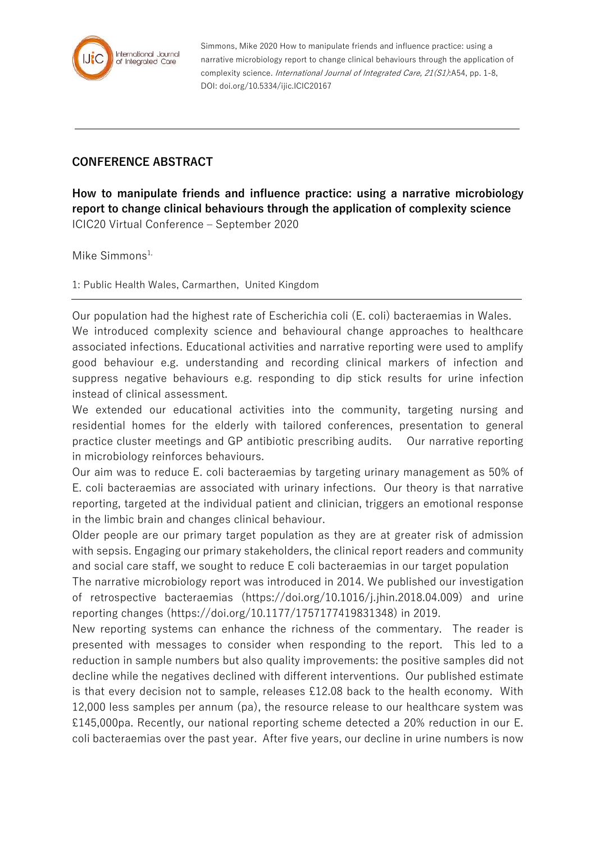

Simmons, Mike 2020 How to manipulate friends and influence practice: using a narrative microbiology report to change clinical behaviours through the application of complexity science. *International Journal of Integrated Care, 21(S1)*:A54, pp. 1-8, DOI: doi.org/10.5334/ijic.ICIC20167

## **CONFERENCE ABSTRACT**

**How to manipulate friends and influence practice: using a narrative microbiology report to change clinical behaviours through the application of complexity science** ICIC20 Virtual Conference – September 2020

Mike Simmons $1$ ,

1: Public Health Wales, Carmarthen, United Kingdom

Our population had the highest rate of Escherichia coli (E. coli) bacteraemias in Wales. We introduced complexity science and behavioural change approaches to healthcare associated infections. Educational activities and narrative reporting were used to amplify good behaviour e.g. understanding and recording clinical markers of infection and suppress negative behaviours e.g. responding to dip stick results for urine infection instead of clinical assessment.

We extended our educational activities into the community, targeting nursing and residential homes for the elderly with tailored conferences, presentation to general practice cluster meetings and GP antibiotic prescribing audits. Our narrative reporting in microbiology reinforces behaviours.

Our aim was to reduce E. coli bacteraemias by targeting urinary management as 50% of E. coli bacteraemias are associated with urinary infections. Our theory is that narrative reporting, targeted at the individual patient and clinician, triggers an emotional response in the limbic brain and changes clinical behaviour.

Older people are our primary target population as they are at greater risk of admission with sepsis. Engaging our primary stakeholders, the clinical report readers and community and social care staff, we sought to reduce E coli bacteraemias in our target population

The narrative microbiology report was introduced in 2014. We published our investigation of retrospective bacteraemias (https://doi.org/10.1016/j.jhin.2018.04.009) and urine reporting changes (https://doi.org/10.1177/1757177419831348) in 2019.

New reporting systems can enhance the richness of the commentary. The reader is presented with messages to consider when responding to the report. This led to a reduction in sample numbers but also quality improvements: the positive samples did not decline while the negatives declined with different interventions. Our published estimate is that every decision not to sample, releases £12.08 back to the health economy. With 12,000 less samples per annum (pa), the resource release to our healthcare system was £145,000pa. Recently, our national reporting scheme detected a 20% reduction in our E. coli bacteraemias over the past year. After five years, our decline in urine numbers is now